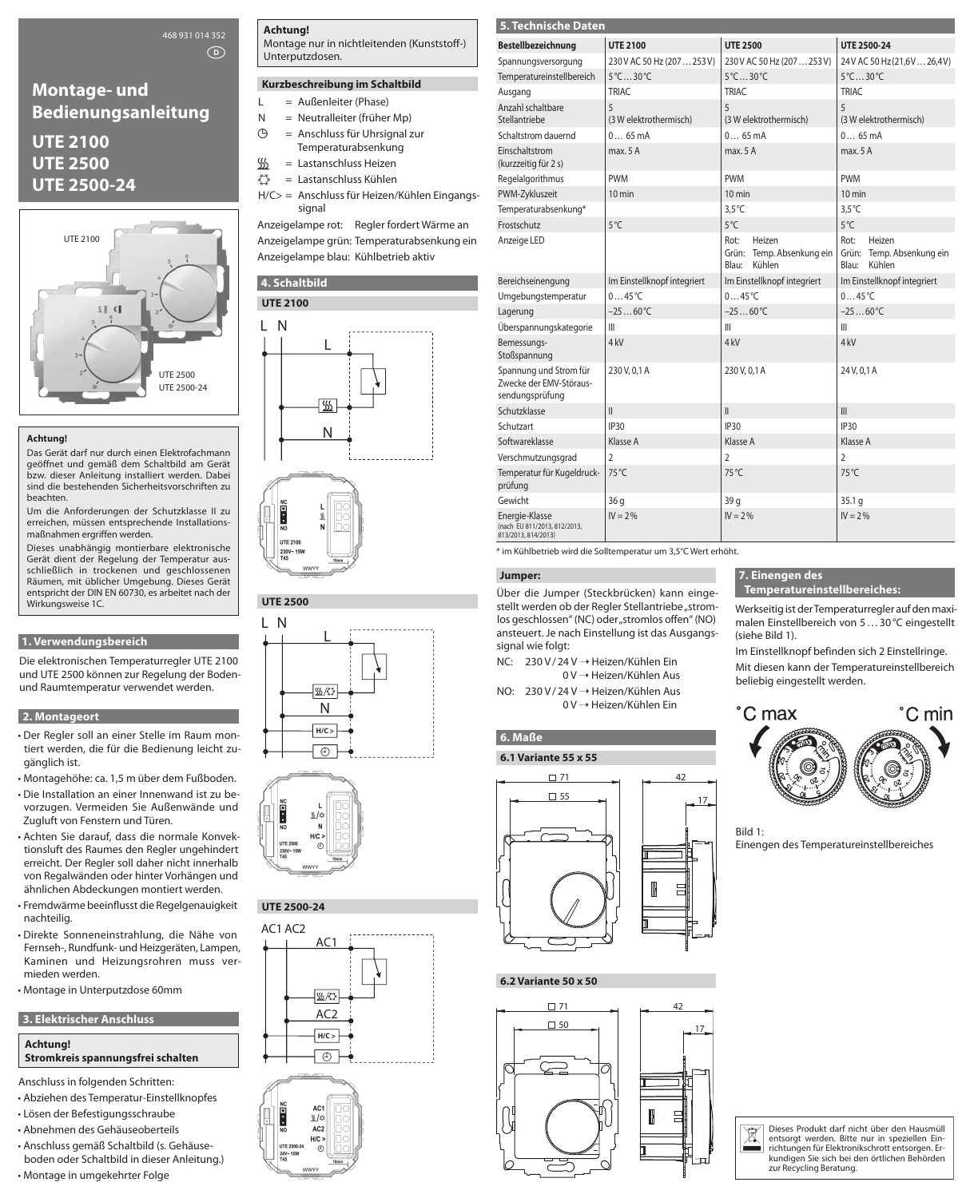## 468 931 014 352

 $\circ$ 

# **Montage- und Bedienungsanleitung**

# **UTE 2100 UTE 2500 UTE 2500-24**



#### **Achtung!**

Das Gerät darf nur durch einen Elektrofachmann geöffnet und gemäß dem Schaltbild am Gerät bzw. dieser Anleitung installiert werden. Dabei sind die bestehenden Sicherheitsvorschriften zu beachten.

Um die Anforderungen der Schutzklasse II zu erreichen, müssen entsprechende Installationsmaßnahmen ergriffen werden.

Dieses unabhängig montierbare elektronische Gerät dient der Regelung der Temperatur ausschließlich in trockenen und geschlossenen Räumen, mit üblicher Umgebung. Dieses Gerät entspricht der DIN EN 60730, es arbeitet nach der Wirkungsweise 1C.

#### **1. Verwendungsbereich**

Die elektronischen Temperaturregler UTE 2100 und UTE 2500 können zur Regelung der Bodenund Raumtemperatur verwendet werden.

### **2. Montageort**

- Der Regler soll an einer Stelle im Raum montiert werden, die für die Bedienung leicht zugänglich ist.
- Montagehöhe: ca. 1,5 m über dem Fußboden.
- Die Installation an einer Innenwand ist zu bevorzugen. Vermeiden Sie Außenwände und Zugluft von Fenstern und Türen.
- Achten Sie darauf, dass die normale Konvektionsluft des Raumes den Regler ungehindert erreicht. Der Regler soll daher nicht innerhalb von Regalwänden oder hinter Vorhängen und ähnlichen Abdeckungen montiert werden.
- Fremdwärme beeinflusst die Regelgenauigkeit nachteilig.
- Direkte Sonneneinstrahlung, die Nähe von Fernseh-, Rundfunk- und Heizgeräten, Lampen, Kaminen und Heizungsrohren muss vermieden werden.
- Montage in Unterputzdose 60mm

## **3. Elektrischer Anschluss**

#### **Achtung! Stromkreis spannungsfrei schalten**

Anschluss in folgenden Schritten:

- Abziehen des Temperatur-Einstellknopfes
- Lösen der Befestigungsschraube
- Abnehmen des Gehäuseoberteils
- Anschluss gemäß Schaltbild (s. Gehäuseboden oder Schaltbild in dieser Anleitung.)

#### • Montage in umgekehrter Folge

#### **Achtung!**

Montage nur in nichtleitenden (Kunststoff-) Unterputzdosen.

### **Kurzbeschreibung im Schaltbild**

- $L = \text{Au}\Omega\text{enleiter}$  (Phase)
- $N =$  Neutralleiter (früher Mp)
- $\Theta$  = Anschluss für Uhrsignal zur Temperaturabsenkung
- $\frac{\sqrt{W}}{\sqrt{x}}$  = Lastanschluss Heizen<br> $\frac{\sqrt{x}}{y}$  = Lastanschluss Kühlen
- = Lastanschluss Kühlen H/C> = Anschluss für Heizen/Kühlen Eingangs-
- signal Anzeigelampe rot: Regler fordert Wärme an Anzeigelampe grün: Temperaturabsenkung ein

Anzeigelampe blau: Kühlbetrieb aktiv

## **4. Schaltbild**



**UTE 2500**





## **UTE 2500-24**





| 5. Technische Daten                                                  |                                |                                                                |                                                                |  |
|----------------------------------------------------------------------|--------------------------------|----------------------------------------------------------------|----------------------------------------------------------------|--|
| <b>Bestellbezeichnung</b>                                            | <b>UTE 2100</b>                | <b>UTE 2500</b>                                                | <b>UTE 2500-24</b>                                             |  |
| Spannungsversorgung                                                  | 230 V AC 50 Hz (207  253 V)    | 230 V AC 50 Hz (207  253 V)                                    | 24V AC 50 Hz (21,6V  26,4V)                                    |  |
| Temperatureinstellbereich                                            | $5^{\circ}$ C  30 $^{\circ}$ C | 5°C30°C                                                        | $5^{\circ}$ C 30 $^{\circ}$ C                                  |  |
| Ausgang                                                              | <b>TRIAC</b>                   | <b>TRIAC</b>                                                   | <b>TRIAC</b>                                                   |  |
| Anzahl schaltbare<br>Stellantriebe                                   | 5<br>(3 W elektrothermisch)    | 5<br>(3 W elektrothermisch)                                    | 5<br>(3 W elektrothermisch)                                    |  |
| Schaltstrom dauernd                                                  | 065mA                          | 065mA                                                          | $065 \text{ mA}$                                               |  |
| Einschaltstrom<br>(kurzzeitig für 2 s)                               | max. 5 A                       | max. 5 A                                                       | max. 5 A                                                       |  |
| Regelalgorithmus                                                     | <b>PWM</b>                     | <b>PWM</b>                                                     | <b>PWM</b>                                                     |  |
| PWM-Zykluszeit                                                       | $10 \text{ min}$               | $10 \text{ min}$                                               | $10 \text{ min}$                                               |  |
| Temperaturabsenkung*                                                 |                                | $3,5^{\circ}$ C                                                | $3.5^{\circ}$ C                                                |  |
| Frostschutz                                                          | $5^{\circ}$ C                  | $5^{\circ}$ C                                                  | 5°C                                                            |  |
| Anzeige LED                                                          |                                | Rot:<br>Heizen<br>Grün: Temp. Absenkung ein<br>Kühlen<br>Blau: | Rot:<br>Heizen<br>Grün: Temp. Absenkung ein<br>Kühlen<br>Blau: |  |
| Bereichseinengung                                                    | Im Einstellknopf integriert    | Im Einstellknopf integriert                                    | Im Einstellknopf integriert                                    |  |
| Umgebungstemperatur                                                  | $0 \dots 45^{\circ}$ C         | $045^{\circ}C$                                                 | $045^{\circ}C$                                                 |  |
| Lagerung                                                             | $-2560^{\circ}C$               | $-2560^{\circ}C$                                               | $-2560^{\circ}C$                                               |  |
| Überspannungskategorie                                               | $\mathbf{III}$                 | Ш                                                              | III                                                            |  |
| Bemessungs-<br>Stoßspannung                                          | 4 <sub>kV</sub>                | 4 <sub>kV</sub>                                                | 4 <sub>kV</sub>                                                |  |
| Spannung und Strom für<br>Zwecke der EMV-Störaus-<br>sendungsprüfung | 230 V, 0,1 A                   | 230 V, 0,1 A                                                   | 24 V, 0, 1 A                                                   |  |
| Schutzklasse                                                         | $\mathbf{I}$                   | $\mathsf{II}$                                                  | III                                                            |  |
| Schutzart                                                            | IP30                           | IP30                                                           | IP30                                                           |  |
| Softwareklasse                                                       | Klasse A                       | Klasse A                                                       | Klasse A                                                       |  |
| Verschmutzungsgrad                                                   | $\overline{2}$                 | 2                                                              | 2                                                              |  |
| Temperatur für Kugeldruck-<br>prüfung                                | 75 °C                          | 75°C                                                           | 75°C                                                           |  |
| Gewicht                                                              | 36 g                           | 39 <sub>q</sub>                                                | 35.1 <sub>q</sub>                                              |  |
| Energie-Klasse<br>(nach EU 811/2013, 812/2013,                       | $IV = 2\%$                     | $IV = 2\%$                                                     | $IV = 2\%$                                                     |  |

\* im Kühlbetrieb wird die Solltemperatur um 3,5°C Wert erhöht.

## **Jumper:**

813/2013, 814/2013)

Über die Jumper (Steckbrücken) kann eingestellt werden ob der Regler Stellantriebe "stromlos geschlossen" (NC) oder "stromlos offen" (NO) ansteuert. Je nach Einstellung ist das Ausgangssignal wie folgt:

- NC: 230 V/24 V → Heizen/Kühlen Ein 0 V → Heizen/Kühlen Aus
- NO: 230 V/24 V → Heizen/Kühlen Aus 0 V → Heizen/Kühlen Ein

#### **6. Maße**



#### **6.2 Variante 50 x 50**



#### **7. Einengen des Temperatureinstellbereiches:**

Werkseitig ist der Temperaturregler auf den maximalen Einstellbereich von 5…30°C eingestellt (siehe Bild 1).

Im Einstellknopf befinden sich 2 Einstellringe. Mit diesen kann der Temperatureinstellbereich beliebig eingestellt werden.



Bild 1: Einengen des Temperatureinstellbereiches

Dieses Produkt darf nicht über den Hausmüll<br>
entsorgt werden. Bitte nur in speziellen Ein-<br>
richtungen für Elektronikschrott entsorgen. Er-<br>
kundigen Sie sich bei den örtlichen Behörden richtungen für Elektronikschrott entsorgen. Erkundigen Sie sich bei den örtlichen Behörden zur Recycling Beratung.